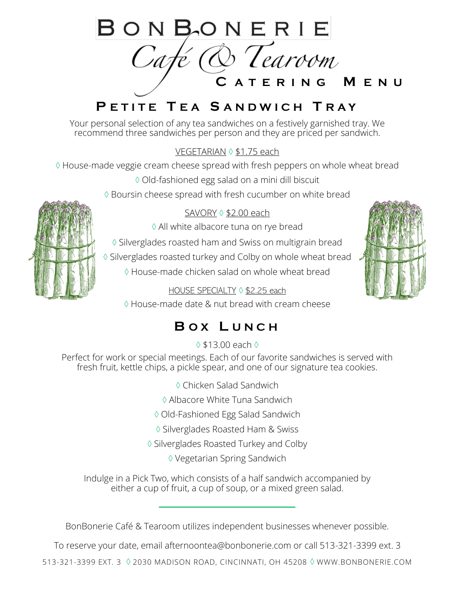

# **P E T I T E T E A S A N D W I C H T R A Y**

\ Your personal selection of any tea sandwiches on a festively garnished tray. We recommend three sandwiches per person and they are priced per sandwich.

VEGETARIAN  $\lozenge$  \$1.75 each

House-made veggie cream cheese spread with fresh peppers on whole wheat bread

Old-fashioned egg salad on a mini dill biscuit

 $\Diamond$  Boursin cheese spread with fresh cucumber on white bread

### SAVORY  $\lozenge$  \$2.00 each

All white albacore tuna on rye bread

 $\Diamond$  Silverglades roasted ham and Swiss on multigrain bread

♦ Silverglades roasted turkey and Colby on whole wheat bread

House-made chicken salad on whole wheat bread

HOUSE SPECIALTY 0 \$2.25 each

House-made date & nut bread with cream cheese

## **B O X L U N C H**

 $\Diamond$  \$13.00 each  $\Diamond$ 

Perfect for work or special meetings. Each of our favorite sandwiches is served with fresh fruit, kettle chips, a pickle spear, and one of our signature tea cookies.

Chicken Salad Sandwich

Albacore White Tuna Sandwich

Old-Fashioned Egg Salad Sandwich

♦ Silverglades Roasted Ham & Swiss

♦ Silverglades Roasted Turkey and Colby

Vegetarian Spring Sandwich

Indulge in a Pick Two, which consists of a half sandwich accompanied by either a cup of fruit, a cup of soup, or a mixed green salad.

BonBonerie Café & Tearoom utilizes independent businesses whenever possible.

To reserve your date, email afternoontea@bonbonerie.com or call 513-321-3399 ext. 3

513-321-3399 EXT. 3 2030 MADISON ROAD, CINCINNATI, OH 45208 WWW.BONBONERIE.COM